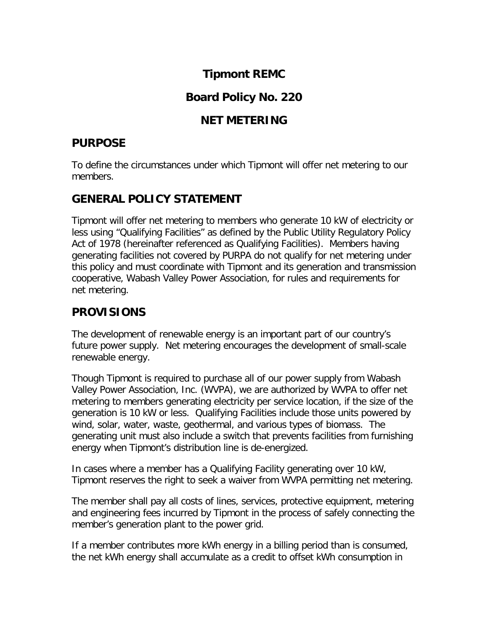# **Tipmont REMC**

# **Board Policy No. 220**

#### **NET METERING**

### **PURPOSE**

To define the circumstances under which Tipmont will offer net metering to our members.

# **GENERAL POLICY STATEMENT**

Tipmont will offer net metering to members who generate 10 kW of electricity or less using "Qualifying Facilities" as defined by the Public Utility Regulatory Policy Act of 1978 (hereinafter referenced as Qualifying Facilities). Members having generating facilities not covered by PURPA do not qualify for net metering under this policy and must coordinate with Tipmont and its generation and transmission cooperative, Wabash Valley Power Association, for rules and requirements for net metering.

# **PROVISIONS**

The development of renewable energy is an important part of our country's future power supply. Net metering encourages the development of small-scale renewable energy.

Though Tipmont is required to purchase all of our power supply from Wabash Valley Power Association, Inc. (WVPA), we are authorized by WVPA to offer net metering to members generating electricity per service location, if the size of the generation is 10 kW or less. Qualifying Facilities include those units powered by wind, solar, water, waste, geothermal, and various types of biomass. The generating unit must also include a switch that prevents facilities from furnishing energy when Tipmont's distribution line is de-energized.

In cases where a member has a Qualifying Facility generating over 10 kW, Tipmont reserves the right to seek a waiver from WVPA permitting net metering.

The member shall pay all costs of lines, services, protective equipment, metering and engineering fees incurred by Tipmont in the process of safely connecting the member's generation plant to the power grid.

If a member contributes more kWh energy in a billing period than is consumed, the net kWh energy shall accumulate as a credit to offset kWh consumption in